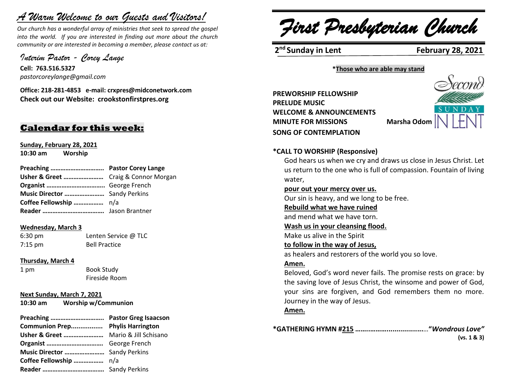# *A Warm Welcome to our Guests and Visitors!*

*Our church has a wonderful array of ministries that seek to spread the gospel into the world. If you are interested in finding out more about the church community or are interested in becoming a member, please contact us at:*

*Interim Pastor - Corey Lange*

**Cell: 763.516.5327** *pastorcoreylange@gmail.com*

**Office: 218-281-4853 e-mail: crxpres@midconetwork.com Check out our Website: crookstonfirstpres.org**

## **Calendar for this week:**

**Sunday, February 28, 2021 10:30 am Worship** 

#### **Wednesday, March 3**

6:30 pm Lenten Service @ TLC 7:15 pm Bell Practice

**Thursday, March 4**

1 pm Book Study Fireside Room

**Next Sunday, March 7, 2021**

**10:30 am Worship w/Communion**

| Communion Prep Phylis Harrington |  |
|----------------------------------|--|
|                                  |  |
|                                  |  |
|                                  |  |
|                                  |  |
|                                  |  |
|                                  |  |

*First Presbyterian Church*

2<sup>nd</sup> Sunday in Lent

**February 28, 2021** 

**\*Those who are able may stand**

**PREWORSHIP FELLOWSHIP PRELUDE MUSIC WELCOME & ANNOUNCEMENTS MINUTE FOR MISSIONS Marsha Odom SONG OF CONTEMPLATION** 



#### **\*CALL TO WORSHIP (Responsive)**

God hears us when we cry and draws us close in Jesus Christ. Let us return to the one who is full of compassion. Fountain of living water,

#### **pour out your mercy over us.**

Our sin is heavy, and we long to be free.

**Rebuild what we have ruined**

and mend what we have torn.

**Wash us in your cleansing flood.**

Make us alive in the Spirit

#### **to follow in the way of Jesus,**

as healers and restorers of the world you so love.

#### **Amen.**

Beloved, God's word never fails. The promise rests on grace: by the saving love of Jesus Christ, the winsome and power of God, your sins are forgiven, and God remembers them no more. Journey in the way of Jesus.

#### **Amen.**

| (vs. 1 & 3) |
|-------------|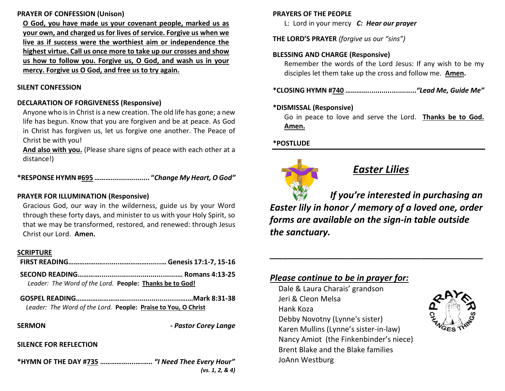#### **PRAYER OF CONFESSION (Unison)**

**O God, you have made us your covenant people, marked us as your own, and charged us for lives of service. Forgive us when we live as if success were the worthiest aim or independence the highest virtue. Call us once more to take up our crosses and show us how to follow you. Forgive us, O God, and wash us in your mercy. Forgive us O God, and free us to try again.**

#### **SILENT CONFESSION**

#### **DECLARATION OF FORGIVENESS (Responsive)**

Anyone who is in Christ is a new creation. The old life has gone; a new life has begun. Know that you are forgiven and be at peace. As God in Christ has forgiven us, let us forgive one another. The Peace of Christ be with you!

**And also with you.** (Please share signs of peace with each other at a distance!)

**\*RESPONSE HYMN #695 ………................... "***Change My Heart, O God"*

#### **PRAYER FOR ILLUMINATION (Responsive)**

Gracious God, our way in the wilderness, guide us by your Word through these forty days, and minister to us with your Holy Spirit, so that we may be transformed, restored, and renewed: through Jesus Christ our Lord. **Amen.**

#### **SCRIPTURE**

- **SECOND READING…………......................................… Romans 4:13-25** *Leader: The Word of the Lord.* **People: Thanks be to God!**
- **GOSPEL READING………………………...........................….…Mark 8:31-38** *Leader: The Word of the Lord.* **People: Praise to You, O Christ**

**SERMON -** *Pastor Corey Lange*

### **SILENCE FOR REFLECTION**

**\*HYMN OF THE DAY #735 ……………....….…..** *"I Need Thee Every Hour"*

*(vs. 1, 2, & 4)*

#### **PRAYERS OF THE PEOPLE**

L: Lord in your mercy *C: Hear our prayer*

**THE LORD'S PRAYER** *(forgive us our "sins")* 

#### **BLESSING AND CHARGE (Responsive)**

Remember the words of the Lord Jesus: If any wish to be my disciples let them take up the cross and follow me. **Amen.**

**\*CLOSING HYMN #740 …………........................***"Lead Me, Guide Me"*

#### **\*DISMISSAL (Responsive)**

Go in peace to love and serve the Lord. **Thanks be to God. Amen.**

#### **\*POSTLUDE**



# *Easter Lilies*

*If you're interested in purchasing an Easter lily in honor / memory of a loved one, order forms are available on the sign-in table outside the sanctuary.*

*\_\_\_\_\_\_\_\_\_\_\_\_\_\_\_\_\_\_\_\_\_\_\_\_\_\_\_\_\_\_\_\_\_\_\_\_\_\_\_\_\_\_\_\_\_\_\_\_*

## *Please continue to be in prayer for:*

Dale & Laura Charais' grandson Jeri & Cleon Melsa Hank Koza Debby Novotny (Lynne's sister) Karen Mullins (Lynne's sister-in-law) Nancy Amiot (the Finkenbinder's niece) Brent Blake and the Blake families JoAnn Westburg

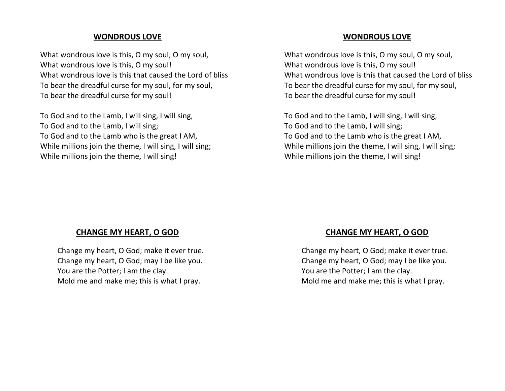### **WONDROUS LOVE**

What wondrous love is this, O my soul, O my soul, What wondrous love is this, O my soul! What wondrous love is this that caused the Lord of bliss To bear the dreadful curse for my soul, for my soul, To bear the dreadful curse for my soul!

To God and to the Lamb, I will sing, I will sing, To God and to the Lamb, I will sing; To God and to the Lamb who is the great I AM, While millions join the theme, I will sing, I will sing; While millions join the theme, I will sing!

## **WONDROUS LOVE**

What wondrous love is this, O my soul, O my soul, What wondrous love is this, O my soul! What wondrous love is this that caused the Lord of bliss To bear the dreadful curse for my soul, for my soul, To bear the dreadful curse for my soul!

To God and to the Lamb, I will sing, I will sing, To God and to the Lamb, I will sing; To God and to the Lamb who is the great I AM, While millions join the theme, I will sing, I will sing; While millions join the theme, I will sing!

## **CHANGE MY HEART, O GOD**

Change my heart, O God; make it ever true. Change my heart, O God; may I be like you. You are the Potter; I am the clay. Mold me and make me; this is what I pray.

## **CHANGE MY HEART, O GOD**

Change my heart, O God; make it ever true. Change my heart, O God; may I be like you. You are the Potter; I am the clay. Mold me and make me; this is what I pray.